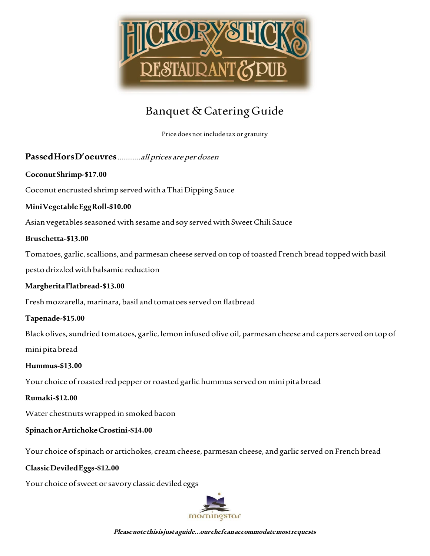

Price does not include tax or gratuity

# **Passed Hors D'oeuvres**…………all prices are per dozen

## **Coconut Shrimp-\$17.00**

Coconut encrusted shrimp served with a Thai Dipping Sauce

## **Mini Vegetable Egg Roll-\$10.00**

Asian vegetables seasoned with sesame and soy served with Sweet Chili Sauce

## **Bruschetta-\$13.00**

Tomatoes, garlic, scallions, and parmesan cheese served on top of toasted French bread topped with basil

pesto drizzled with balsamic reduction

## **Margherita Flatbread-\$13.00**

Fresh mozzarella, marinara, basil and tomatoes served on flatbread

## **Tapenade-\$15.00**

Black olives, sundried tomatoes, garlic, lemon infused olive oil, parmesan cheese and capers served on top of mini pita bread

## **Hummus-\$13.00**

Your choice of roasted red pepper or roasted garlic hummus served on mini pita bread

## **Rumaki-\$12.00**

Water chestnuts wrapped in smoked bacon

## **Spinach orArtichoke Crostini-\$14.00**

Your choice of spinach or artichokes, cream cheese, parmesan cheese, and garlic served on French bread

## **Classic Deviled Eggs-\$12.00**

Your choice of sweet or savory classic deviled eggs

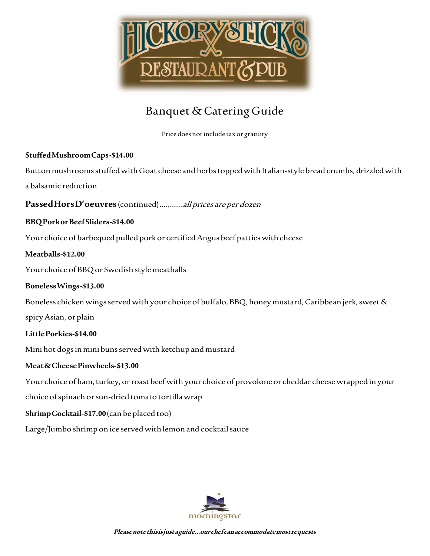

Price does not include tax or gratuity

## **Stuffed MushroomCaps-\$14.00**

Button mushrooms stuffed with Goat cheese and herbs topped with Italian-style bread crumbs, drizzled with

a balsamic reduction

**Passed Hors D'oeuvres**(continued)…………all prices are per dozen

## **BBQ Pork or Beef Sliders-\$14.00**

Your choice of barbequed pulled pork or certified Angus beef patties with cheese

## **Meatballs-\$12.00**

Your choice of BBQ or Swedish style meatballs

## **Boneless Wings-\$13.00**

Boneless chicken wings served with your choice of buffalo, BBQ, honey mustard, Caribbean jerk, sweet &

spicy Asian, or plain

## **Little Porkies-\$14.00**

Mini hot dogs in mini buns served with ketchup and mustard

## **Meat & Cheese Pinwheels-\$13.00**

Your choice of ham, turkey, or roast beef with your choice of provolone or cheddar cheese wrapped in your

choice of spinach or sun-dried tomato tortilla wrap

## **Shrimp Cocktail-\$17.00**(can be placed too)

Large/Jumbo shrimp on ice served with lemon and cocktail sauce

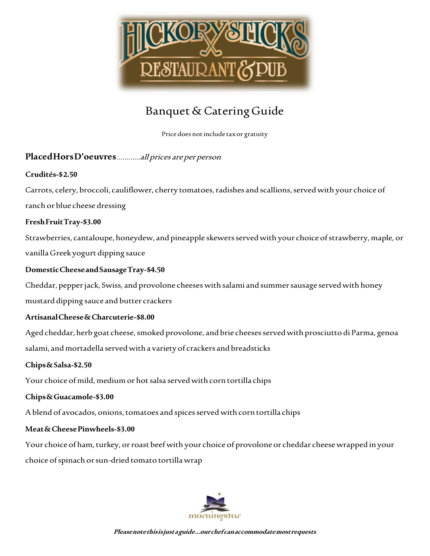

Price does not include tax or gratuity

# **PlacedHors D'oeuvres**…………all prices are per person

## **Crudités-\$ 2.50**

Carrots, celery, broccoli, cauliflower, cherry tomatoes, radishes and scallions, served with your choice of ranch or blue cheese dressing

## **Fresh Fruit Tray-\$3.00**

Strawberries, cantaloupe, honeydew, and pineapple skewers served with your choice of strawberry, maple, or vanilla Greek yogurt dipping sauce

## **Domestic Cheese and Sausage Tray-\$4.50**

Cheddar, pepper jack, Swiss, and provolone cheeses with salami and summer sausage served with honey

mustard dipping sauce and butter crackers

# **Artisanal Cheese & Charcuterie-\$8.00**

Aged cheddar, herb goat cheese, smoked provolone, and brie cheeses served with prosciutto di Parma, genoa salami, and mortadella served with a variety of crackers and breadsticks

## **Chips & Salsa-\$2.50**

Your choice of mild, medium or hot salsa served with corn tortilla chips

## **Chips & Guacamole-\$3.00**

A blend of avocados, onions, tomatoes and spices served with corn tortilla chips

## **Meat & Cheese Pinwheels-\$3.00**

Your choice of ham, turkey, or roast beef with your choice of provolone or cheddar cheese wrapped in your choice of spinach or sun-dried tomato tortilla wrap

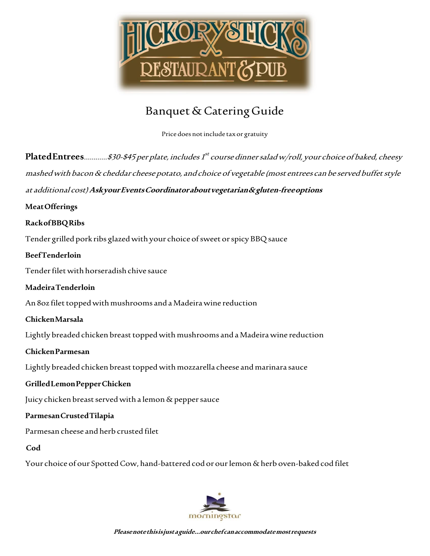

Price does not include tax or gratuity

**Plated Entrees**…………\$30-\$45 per plate, includes 1 st course dinner salad w/roll, your choice of baked, cheesy mashed with bacon & cheddar cheese potato, and choice of vegetable (most entrees can be served buffet style

at additional cost)**Ask your Events Coordinator about vegetarian & gluten-free options** 

# **Meat Offerings**

# **Rack of BBQ Ribs**

Tender grilled pork ribs glazed with your choice of sweet or spicy BBQ sauce

# **Beef Tenderloin**

Tender filet with horseradish chive sauce

# **Madeira Tenderloin**

An 8oz filet topped with mushrooms and a Madeira wine reduction

# **Chicken Marsala**

Lightly breaded chicken breast topped with mushrooms and a Madeira wine reduction

## **Chicken Parmesan**

Lightly breaded chicken breast topped with mozzarella cheese and marinara sauce

# **Grilled Lemon Pepper Chicken**

Juicy chicken breast served with a lemon & pepper sauce

# **Parmesan Crusted Tilapia**

Parmesan cheese and herb crusted filet

## **Cod**

Your choice of our Spotted Cow, hand-battered cod or our lemon & herb oven-baked cod filet

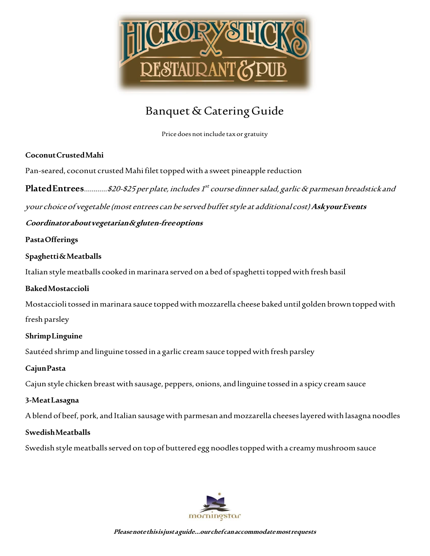

Price does not include tax or gratuity

# **Coconut Crusted Mahi**

Pan-seared, coconut crusted Mahi filet topped with a sweet pineapple reduction

**Plated Entrees**…………\$20-\$25 per plate, includes 1 st course dinner salad, garlic & parmesan breadstick and

your choice of vegetable (most entrees can be served buffet style at additional cost)**Ask your Events** 

# **Coordinator about vegetarian & gluten-free options**

# **Pasta Offerings**

# **Spaghetti & Meatballs**

Italian style meatballs cooked in marinara served on a bed of spaghetti topped with fresh basil

# **Baked Mostaccioli**

Mostaccioli tossed in marinara sauce topped with mozzarella cheese baked until golden brown topped with

fresh parsley

# **Shrimp Linguine**

Sautéed shrimp and linguine tossed in a garlic cream sauce topped with fresh parsley

# **Cajun Pasta**

Cajun style chicken breast with sausage, peppers, onions, and linguine tossed in a spicy cream sauce

# **3-Meat Lasagna**

A blend of beef, pork, and Italian sausage with parmesan and mozzarella cheeses layered with lasagna noodles

# **Swedish Meatballs**

Swedish style meatballs served on top of buttered egg noodles topped with a creamy mushroom sauce